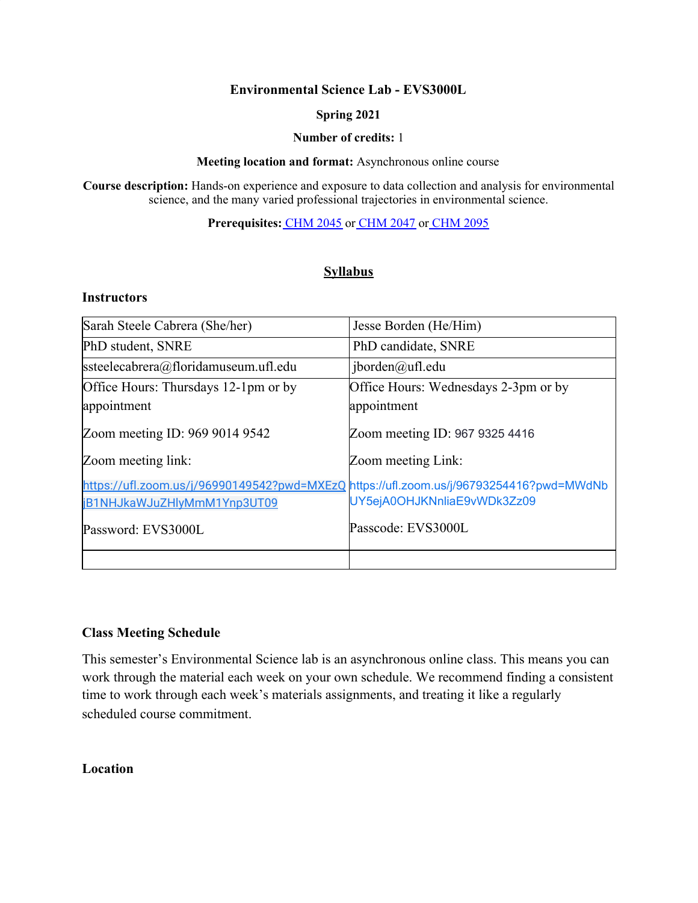#### **Environmental Science Lab - EVS3000L**

#### **Spring 2021**

#### **Number of credits:** 1

#### **Meeting location and format:** Asynchronous online course

**Course description:** Hands-on experience and exposure to data collection and analysis for environmental science, and the many varied professional trajectories in environmental science.

**Prerequisites:** [CHM](https://catalog.ufl.edu/search/?P=CHM%202045) 2045 or [CHM](https://catalog.ufl.edu/search/?P=CHM%202047) 2047 or [CHM](https://catalog.ufl.edu/search/?P=CHM%202095) 2095

### **Syllabus**

### **Instructors**

| Sarah Steele Cabrera (She/her)                                                          | Jesse Borden (He/Him)                |
|-----------------------------------------------------------------------------------------|--------------------------------------|
| PhD student, SNRE                                                                       | PhD candidate, SNRE                  |
| ssteelecabrera@floridamuseum.ufl.edu                                                    | iborden@ufl.edu                      |
| Office Hours: Thursdays 12-1pm or by                                                    | Office Hours: Wednesdays 2-3pm or by |
| appointment                                                                             | appointment                          |
| Zoom meeting ID: 969 9014 9542                                                          | Zoom meeting ID: 967 9325 4416       |
| Zoom meeting link:                                                                      | Zoom meeting Link:                   |
| https://ufl.zoom.us/j/96990149542?pwd=MXEzQ https://ufl.zoom.us/j/96793254416?pwd=MWdNb |                                      |
| jB1NHJkaWJuZHlyMmM1Ynp3UT09                                                             | UY5ejA0OHJKNnliaE9vWDk3Zz09          |
| Password: EVS3000L                                                                      | Passcode: EVS3000L                   |
|                                                                                         |                                      |

#### **Class Meeting Schedule**

This semester's Environmental Science lab is an asynchronous online class. This means you can work through the material each week on your own schedule. We recommend finding a consistent time to work through each week's materials assignments, and treating it like a regularly scheduled course commitment.

**Location**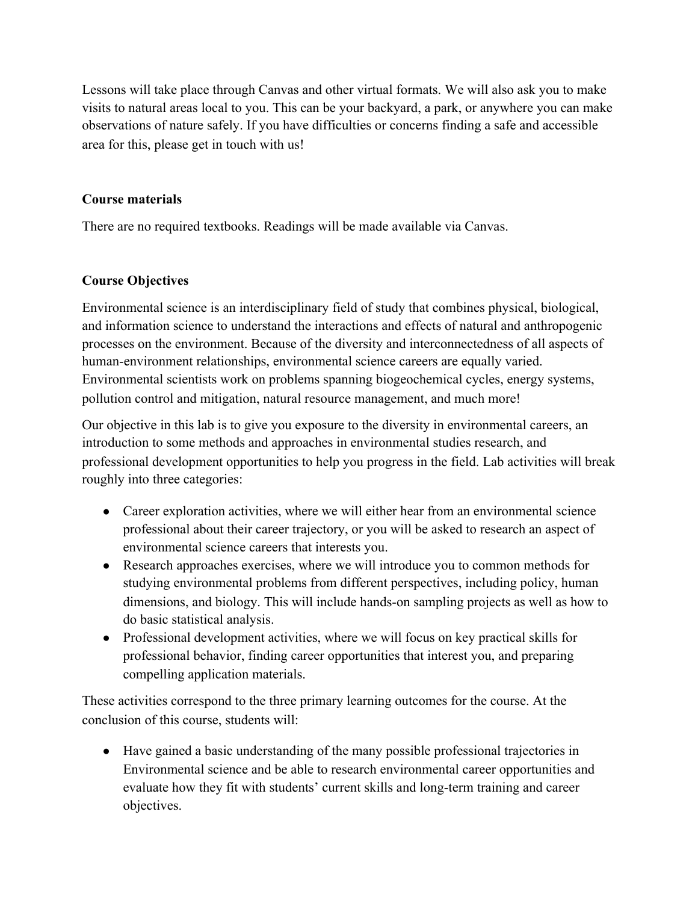Lessons will take place through Canvas and other virtual formats. We will also ask you to make visits to natural areas local to you. This can be your backyard, a park, or anywhere you can make observations of nature safely. If you have difficulties or concerns finding a safe and accessible area for this, please get in touch with us!

### **Course materials**

There are no required textbooks. Readings will be made available via Canvas.

# **Course Objectives**

Environmental science is an interdisciplinary field of study that combines physical, biological, and information science to understand the interactions and effects of natural and anthropogenic processes on the environment. Because of the diversity and interconnectedness of all aspects of human-environment relationships, environmental science careers are equally varied. Environmental scientists work on problems spanning biogeochemical cycles, energy systems, pollution control and mitigation, natural resource management, and much more!

Our objective in this lab is to give you exposure to the diversity in environmental careers, an introduction to some methods and approaches in environmental studies research, and professional development opportunities to help you progress in the field. Lab activities will break roughly into three categories:

- Career exploration activities, where we will either hear from an environmental science professional about their career trajectory, or you will be asked to research an aspect of environmental science careers that interests you.
- Research approaches exercises, where we will introduce you to common methods for studying environmental problems from different perspectives, including policy, human dimensions, and biology. This will include hands-on sampling projects as well as how to do basic statistical analysis.
- Professional development activities, where we will focus on key practical skills for professional behavior, finding career opportunities that interest you, and preparing compelling application materials.

These activities correspond to the three primary learning outcomes for the course. At the conclusion of this course, students will:

● Have gained a basic understanding of the many possible professional trajectories in Environmental science and be able to research environmental career opportunities and evaluate how they fit with students' current skills and long-term training and career objectives.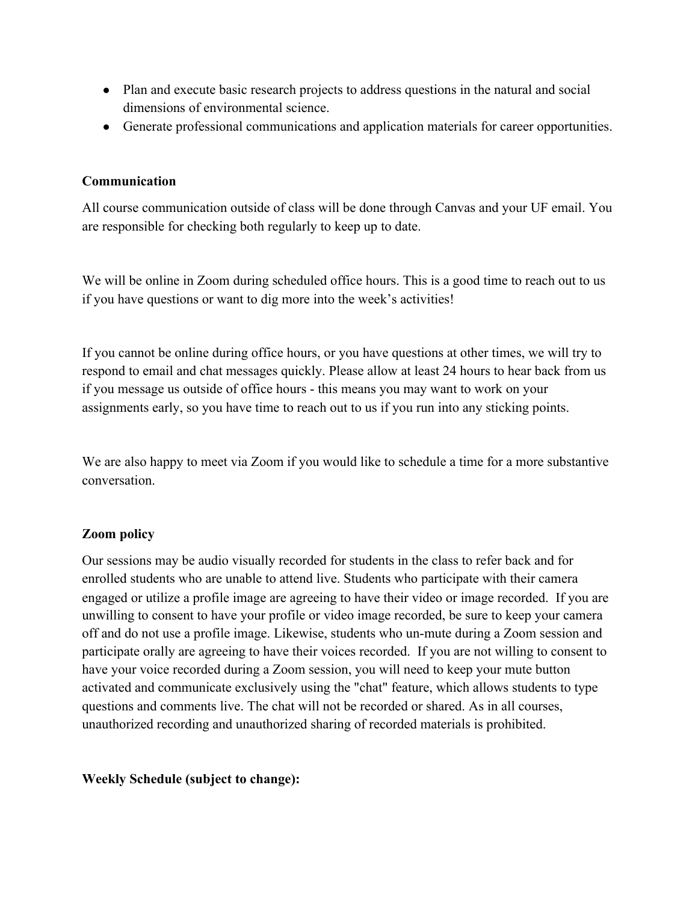- Plan and execute basic research projects to address questions in the natural and social dimensions of environmental science.
- Generate professional communications and application materials for career opportunities.

### **Communication**

All course communication outside of class will be done through Canvas and your UF email. You are responsible for checking both regularly to keep up to date.

We will be online in Zoom during scheduled office hours. This is a good time to reach out to us if you have questions or want to dig more into the week's activities!

If you cannot be online during office hours, or you have questions at other times, we will try to respond to email and chat messages quickly. Please allow at least 24 hours to hear back from us if you message us outside of office hours - this means you may want to work on your assignments early, so you have time to reach out to us if you run into any sticking points.

We are also happy to meet via Zoom if you would like to schedule a time for a more substantive conversation.

### **Zoom policy**

Our sessions may be audio visually recorded for students in the class to refer back and for enrolled students who are unable to attend live. Students who participate with their camera engaged or utilize a profile image are agreeing to have their video or image recorded. If you are unwilling to consent to have your profile or video image recorded, be sure to keep your camera off and do not use a profile image. Likewise, students who un-mute during a Zoom session and participate orally are agreeing to have their voices recorded. If you are not willing to consent to have your voice recorded during a Zoom session, you will need to keep your mute button activated and communicate exclusively using the "chat" feature, which allows students to type questions and comments live. The chat will not be recorded or shared. As in all courses, unauthorized recording and unauthorized sharing of recorded materials is prohibited.

### **Weekly Schedule (subject to change):**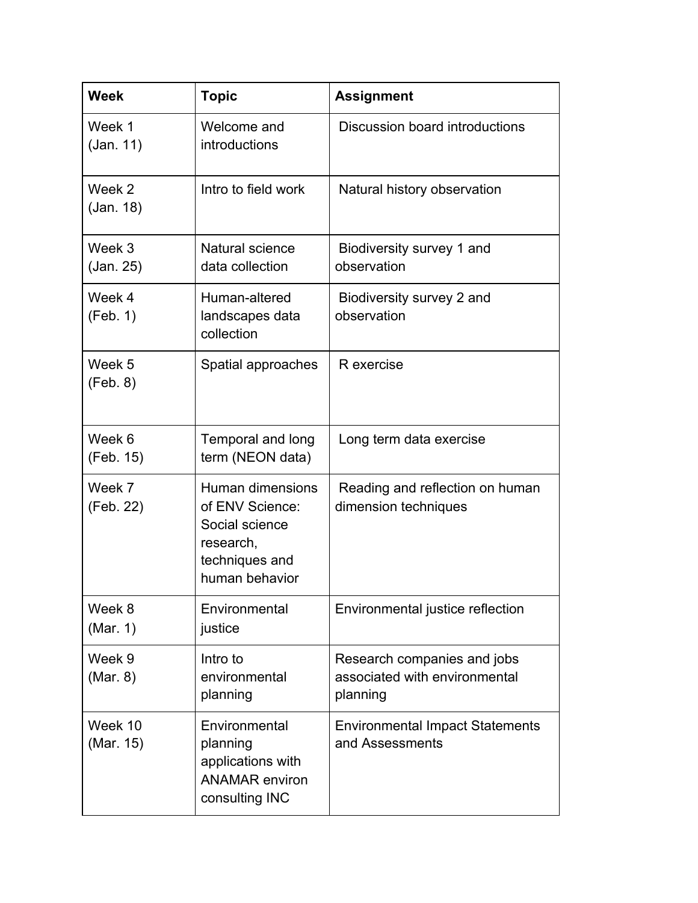| <b>Week</b>          | <b>Topic</b>                                                                                           | <b>Assignment</b>                                                        |  |  |
|----------------------|--------------------------------------------------------------------------------------------------------|--------------------------------------------------------------------------|--|--|
| Week 1<br>(Jan. 11)  | Welcome and<br>introductions                                                                           | Discussion board introductions                                           |  |  |
| Week 2<br>(Jan. 18)  | Intro to field work                                                                                    | Natural history observation                                              |  |  |
| Week 3<br>(Jan. 25)  | Natural science<br>data collection                                                                     | Biodiversity survey 1 and<br>observation                                 |  |  |
| Week 4<br>(Feb. 1)   | Human-altered<br>landscapes data<br>collection                                                         | Biodiversity survey 2 and<br>observation                                 |  |  |
| Week 5<br>(Feb. 8)   | Spatial approaches                                                                                     | R exercise                                                               |  |  |
| Week 6<br>(Feb. 15)  | Temporal and long<br>term (NEON data)                                                                  | Long term data exercise                                                  |  |  |
| Week 7<br>(Feb. 22)  | Human dimensions<br>of ENV Science:<br>Social science<br>research,<br>techniques and<br>human behavior | Reading and reflection on human<br>dimension techniques                  |  |  |
| Week 8<br>(Mar. 1)   | Environmental<br>justice                                                                               | Environmental justice reflection                                         |  |  |
| Week 9<br>(Mar. 8)   | Intro to<br>environmental<br>planning                                                                  | Research companies and jobs<br>associated with environmental<br>planning |  |  |
| Week 10<br>(Mar. 15) | Environmental<br>planning<br>applications with<br><b>ANAMAR</b> environ<br>consulting INC              | <b>Environmental Impact Statements</b><br>and Assessments                |  |  |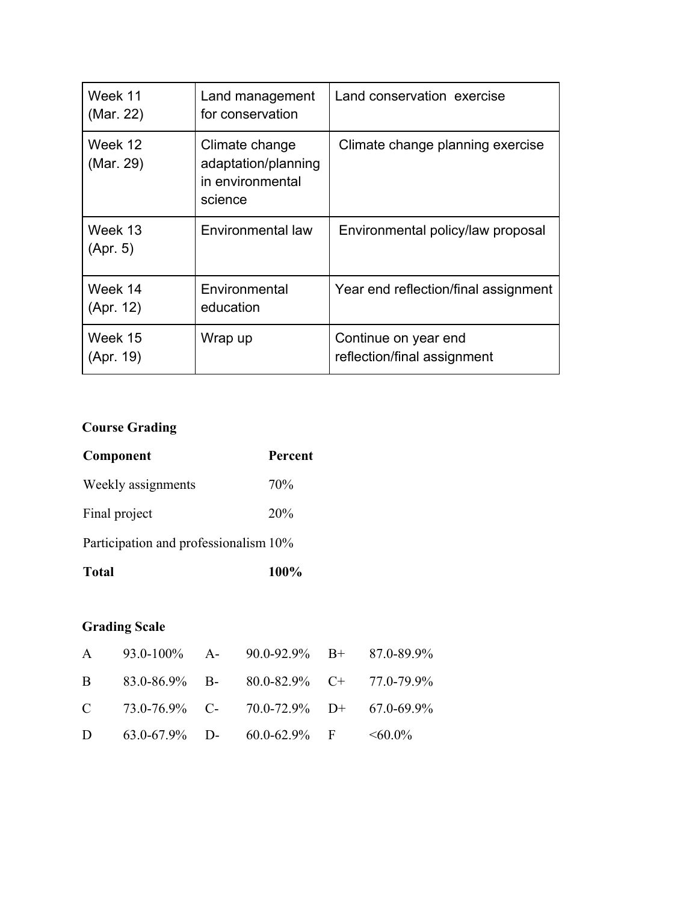| Week 11<br>(Mar. 22) | Land management<br>for conservation                                  | Land conservation exercise                          |
|----------------------|----------------------------------------------------------------------|-----------------------------------------------------|
| Week 12<br>(Mar. 29) | Climate change<br>adaptation/planning<br>in environmental<br>science | Climate change planning exercise                    |
| Week 13<br>(Apr. 5)  | Environmental law                                                    | Environmental policy/law proposal                   |
| Week 14<br>(Apr. 12) | Environmental<br>education                                           | Year end reflection/final assignment                |
| Week 15<br>(Apr. 19) | Wrap up                                                              | Continue on year end<br>reflection/final assignment |

# **Course Grading**

| Component                             | <b>Percent</b> |
|---------------------------------------|----------------|
| Weekly assignments                    | 70%            |
| Final project                         | 20%            |
| Participation and professionalism 10% |                |
| <b>Total</b>                          | 100%           |

# **Grading Scale**

| A 93.0-100% A- 90.0-92.9% B+ 87.0-89.9%                 |  |  |
|---------------------------------------------------------|--|--|
| B $83.0-86.9\%$ B- $80.0-82.9\%$ C+ 77.0-79.9%          |  |  |
| C $73.0 - 76.9\%$ C- $70.0 - 72.9\%$ D+ $67.0 - 69.9\%$ |  |  |
| D 63.0-67.9% D- 60.0-62.9% F $\leq 60.0\%$              |  |  |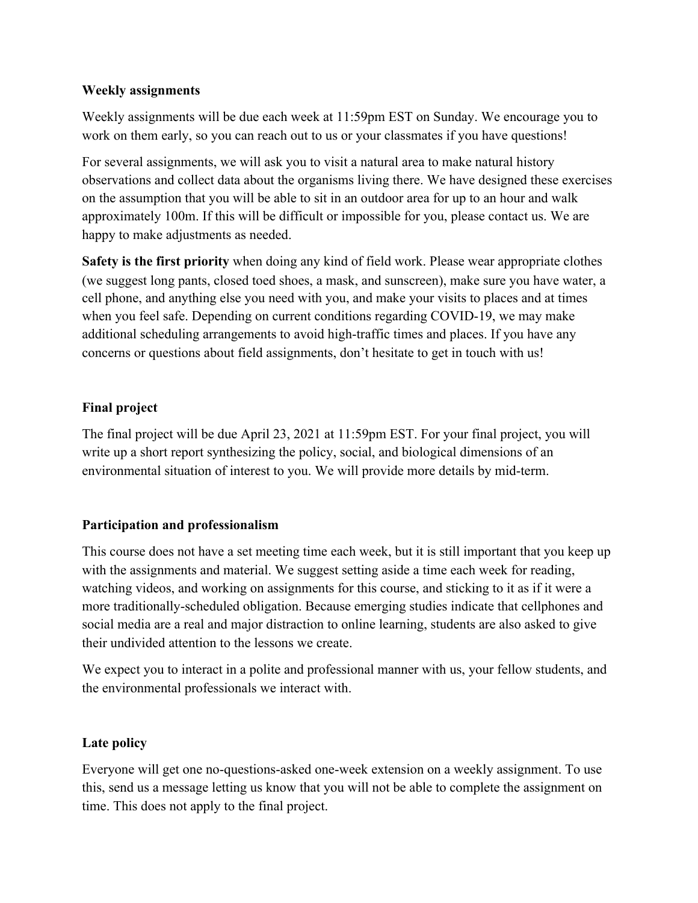### **Weekly assignments**

Weekly assignments will be due each week at 11:59pm EST on Sunday. We encourage you to work on them early, so you can reach out to us or your classmates if you have questions!

For several assignments, we will ask you to visit a natural area to make natural history observations and collect data about the organisms living there. We have designed these exercises on the assumption that you will be able to sit in an outdoor area for up to an hour and walk approximately 100m. If this will be difficult or impossible for you, please contact us. We are happy to make adjustments as needed.

**Safety is the first priority** when doing any kind of field work. Please wear appropriate clothes (we suggest long pants, closed toed shoes, a mask, and sunscreen), make sure you have water, a cell phone, and anything else you need with you, and make your visits to places and at times when you feel safe. Depending on current conditions regarding COVID-19, we may make additional scheduling arrangements to avoid high-traffic times and places. If you have any concerns or questions about field assignments, don't hesitate to get in touch with us!

### **Final project**

The final project will be due April 23, 2021 at 11:59pm EST. For your final project, you will write up a short report synthesizing the policy, social, and biological dimensions of an environmental situation of interest to you. We will provide more details by mid-term.

### **Participation and professionalism**

This course does not have a set meeting time each week, but it is still important that you keep up with the assignments and material. We suggest setting aside a time each week for reading, watching videos, and working on assignments for this course, and sticking to it as if it were a more traditionally-scheduled obligation. Because emerging studies indicate that cellphones and social media are a real and major distraction to online learning, students are also asked to give their undivided attention to the lessons we create.

We expect you to interact in a polite and professional manner with us, your fellow students, and the environmental professionals we interact with.

### **Late policy**

Everyone will get one no-questions-asked one-week extension on a weekly assignment. To use this, send us a message letting us know that you will not be able to complete the assignment on time. This does not apply to the final project.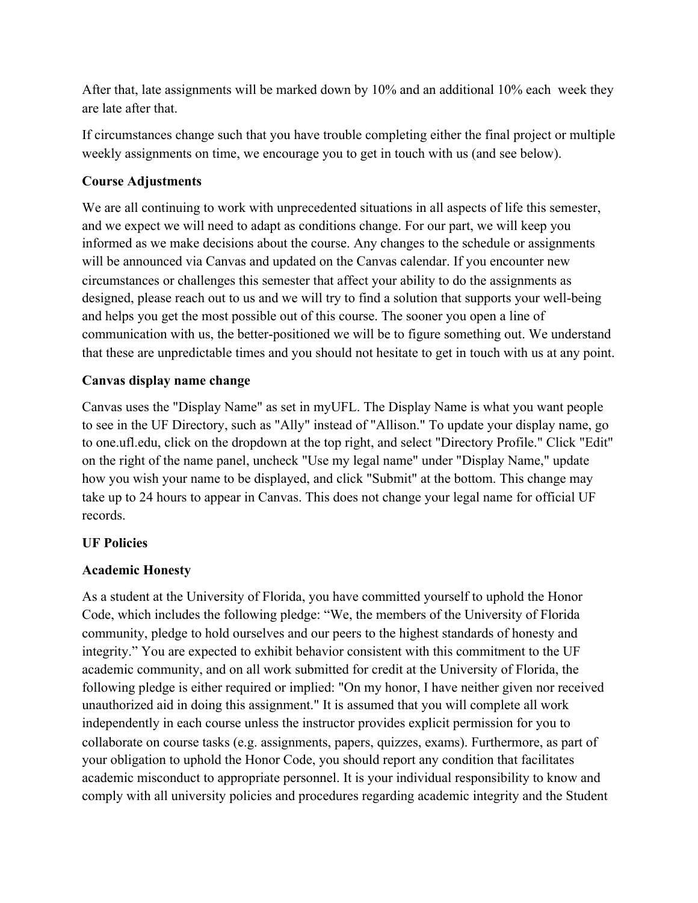After that, late assignments will be marked down by 10% and an additional 10% each week they are late after that.

If circumstances change such that you have trouble completing either the final project or multiple weekly assignments on time, we encourage you to get in touch with us (and see below).

# **Course Adjustments**

We are all continuing to work with unprecedented situations in all aspects of life this semester, and we expect we will need to adapt as conditions change. For our part, we will keep you informed as we make decisions about the course. Any changes to the schedule or assignments will be announced via Canvas and updated on the Canvas calendar. If you encounter new circumstances or challenges this semester that affect your ability to do the assignments as designed, please reach out to us and we will try to find a solution that supports your well-being and helps you get the most possible out of this course. The sooner you open a line of communication with us, the better-positioned we will be to figure something out. We understand that these are unpredictable times and you should not hesitate to get in touch with us at any point.

# **Canvas display name change**

Canvas uses the "Display Name" as set in myUFL. The Display Name is what you want people to see in the UF Directory, such as "Ally" instead of "Allison." To update your display name, go to one.ufl.edu, click on the dropdown at the top right, and select "Directory Profile." Click "Edit" on the right of the name panel, uncheck "Use my legal name" under "Display Name," update how you wish your name to be displayed, and click "Submit" at the bottom. This change may take up to 24 hours to appear in Canvas. This does not change your legal name for official UF records.

# **UF Policies**

# **Academic Honesty**

As a student at the University of Florida, you have committed yourself to uphold the Honor Code, which includes the following pledge: "We, the members of the University of Florida community, pledge to hold ourselves and our peers to the highest standards of honesty and integrity." You are expected to exhibit behavior consistent with this commitment to the UF academic community, and on all work submitted for credit at the University of Florida, the following pledge is either required or implied: "On my honor, I have neither given nor received unauthorized aid in doing this assignment." It is assumed that you will complete all work independently in each course unless the instructor provides explicit permission for you to collaborate on course tasks (e.g. assignments, papers, quizzes, exams). Furthermore, as part of your obligation to uphold the Honor Code, you should report any condition that facilitates academic misconduct to appropriate personnel. It is your individual responsibility to know and comply with all university policies and procedures regarding academic integrity and the Student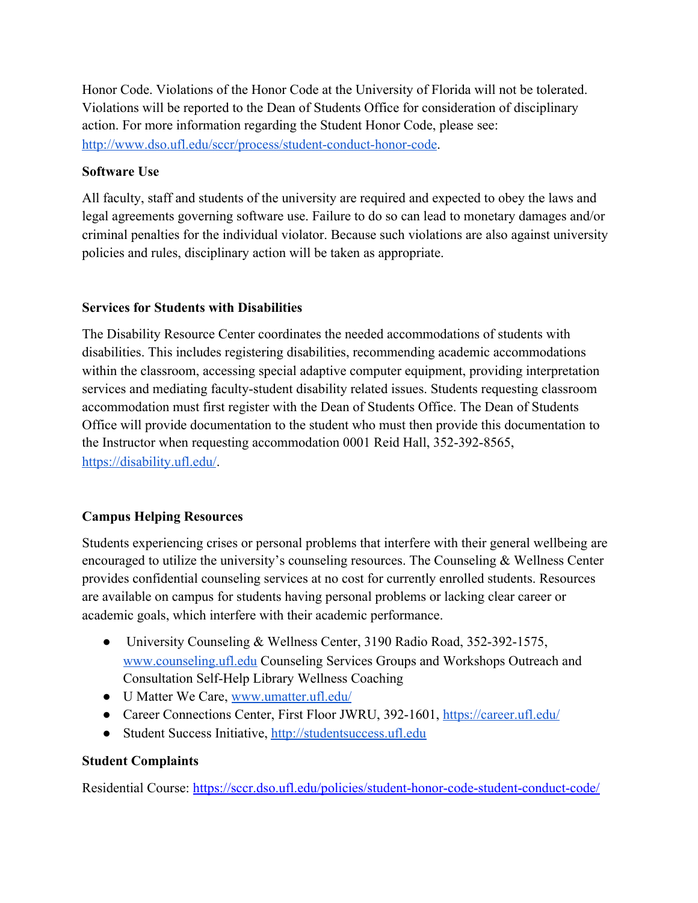Honor Code. Violations of the Honor Code at the University of Florida will not be tolerated. Violations will be reported to the Dean of Students Office for consideration of disciplinary action. For more information regarding the Student Honor Code, please see: <http://www.dso.ufl.edu/sccr/process/student-conduct-honor-code>.

### **Software Use**

All faculty, staff and students of the university are required and expected to obey the laws and legal agreements governing software use. Failure to do so can lead to monetary damages and/or criminal penalties for the individual violator. Because such violations are also against university policies and rules, disciplinary action will be taken as appropriate.

### **Services for Students with Disabilities**

The Disability Resource Center coordinates the needed accommodations of students with disabilities. This includes registering disabilities, recommending academic accommodations within the classroom, accessing special adaptive computer equipment, providing interpretation services and mediating faculty-student disability related issues. Students requesting classroom accommodation must first register with the Dean of Students Office. The Dean of Students Office will provide documentation to the student who must then provide this documentation to the Instructor when requesting accommodation 0001 Reid Hall, 352-392-8565, [https://disability.ufl.edu/.](https://disability.ufl.edu/)

# **Campus Helping Resources**

Students experiencing crises or personal problems that interfere with their general wellbeing are encouraged to utilize the university's counseling resources. The Counseling & Wellness Center provides confidential counseling services at no cost for currently enrolled students. Resources are available on campus for students having personal problems or lacking clear career or academic goals, which interfere with their academic performance.

- University Counseling & Wellness Center, 3190 Radio Road, 352-392-1575, [www.counseling.ufl.edu](http://www.counseling.ufl.edu/) Counseling Services Groups and Workshops Outreach and Consultation Self-Help Library Wellness Coaching
- U Matter We Care, [www.umatter.ufl.edu/](http://www.umatter.ufl.edu/)
- Career Connections Center, First Floor JWRU, 392-1601,<https://career.ufl.edu/>
- Student Success Initiative, [http://studentsuccess.ufl.edu](http://studentsuccess.ufl.edu/)

# **Student Complaints**

Residential Course: <https://sccr.dso.ufl.edu/policies/student-honor-code-student-conduct-code/>